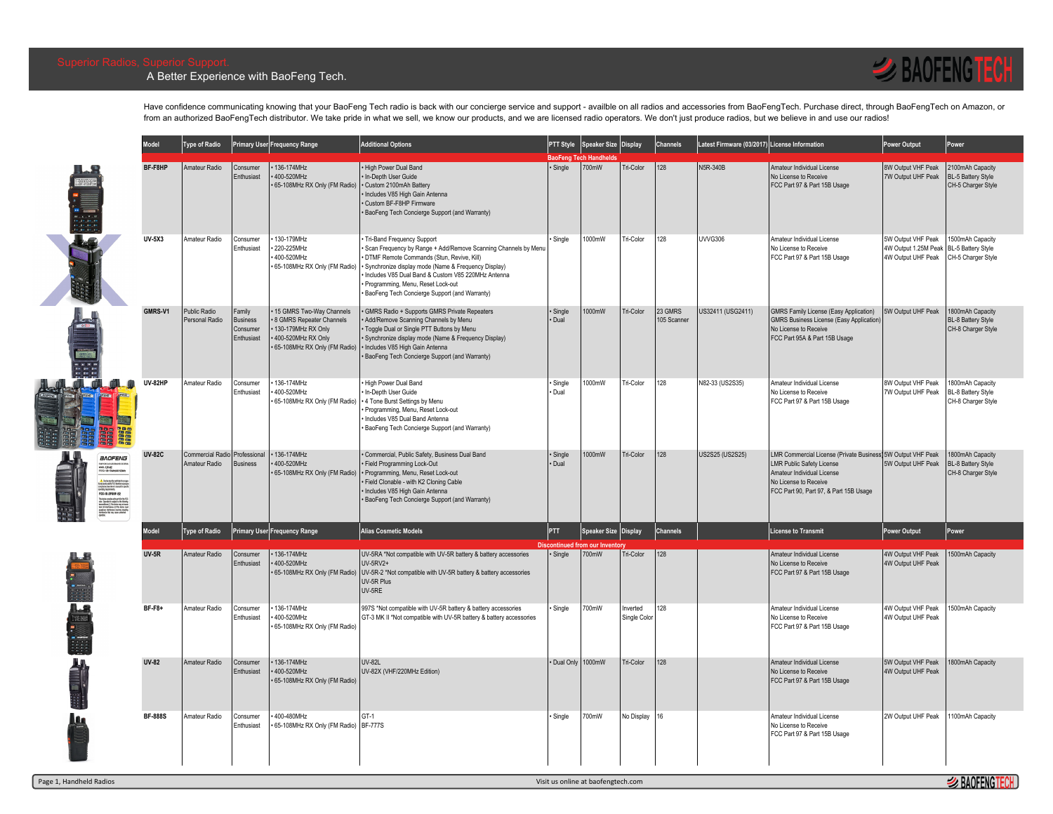## A Better Experience with BaoFeng Tech.



Have confidence communicating knowing that your BaoFeng Tech radio is back with our concierge service and support - availble on all radios and accessories from BaoFengTech. Purchase direct, through BaoFengTech on Amazon, o from an authorized BaoFengTech distributor. We take pride in what we sell, we know our products, and we are licensed radio operators. We don't just produce radios, but we believe in and use our radios!

|                                                                                                                                                                                                                                                                                                                                                                                                                                                                                                                                                                                                                                                                                                                                                                                                                                                                                                                                                                                                           | <b>Model</b>   | Type of Radio                            |                                                    | imary User Frequency Range                                                                                                         | <b>Additional Options</b>                                                                                                                                                                                                                                                                                                                    |                    | PTT Style Speaker Size Display           |                         | Channels               | Latest Firmware (03/2017) License Information |                                                                                                                                                                                                   | ower Output                                                      | Power                                                        |
|-----------------------------------------------------------------------------------------------------------------------------------------------------------------------------------------------------------------------------------------------------------------------------------------------------------------------------------------------------------------------------------------------------------------------------------------------------------------------------------------------------------------------------------------------------------------------------------------------------------------------------------------------------------------------------------------------------------------------------------------------------------------------------------------------------------------------------------------------------------------------------------------------------------------------------------------------------------------------------------------------------------|----------------|------------------------------------------|----------------------------------------------------|------------------------------------------------------------------------------------------------------------------------------------|----------------------------------------------------------------------------------------------------------------------------------------------------------------------------------------------------------------------------------------------------------------------------------------------------------------------------------------------|--------------------|------------------------------------------|-------------------------|------------------------|-----------------------------------------------|---------------------------------------------------------------------------------------------------------------------------------------------------------------------------------------------------|------------------------------------------------------------------|--------------------------------------------------------------|
| <b>SOF</b>                                                                                                                                                                                                                                                                                                                                                                                                                                                                                                                                                                                                                                                                                                                                                                                                                                                                                                                                                                                                | BF-F8HP        | Amateur Radio                            | Consumer<br>Enthusiast                             | 136-174MHz<br>400-520MHz<br>65-108MHz RX Only (FM Radio)                                                                           | High Power Dual Band<br>. In-Depth User Guide<br>· Custom 2100mAh Battery<br>Includes V85 High Gain Antenna<br>Custom BF-F8HP Firmware<br>BaoFeng Tech Concierge Support (and Warranty)                                                                                                                                                      | · Single           | BaoFeng Tech Handhelds<br>700mW          | Tri-Color               | 128                    | <b>N5R-340B</b>                               | Amateur Individual License<br>No License to Receive<br>FCC Part 97 & Part 15B Usage                                                                                                               | 8W Output VHF Peak<br>7W Outout UHF Peak                         | 2100mAh Capacity<br>BL-5 Battery Style<br>CH-5 Charger Style |
|                                                                                                                                                                                                                                                                                                                                                                                                                                                                                                                                                                                                                                                                                                                                                                                                                                                                                                                                                                                                           | <b>UV-5X3</b>  | Amateur Radio                            | Consumer<br>Enthusiast                             | 130-179MHz<br>220-225MHz<br>400-520MHz<br>65-108MHz RX Only (FM Radio)                                                             | Tri-Band Frequency Support<br>Scan Frequency by Range + Add/Remove Scanning Channels by Menu<br>DTMF Remote Commands (Stun, Revive, Kill)<br>Synchronize display mode (Name & Frequency Display)<br>Includes V85 Dual Band & Custom V85 220MHz Antenna<br>Programming, Menu, Reset Lock-out<br>BaoFeng Tech Concierge Support (and Warranty) | Single             | 1000mW                                   | Tri-Color               | 128                    | <b>UVVG306</b>                                | Amateur Individual License<br>No License to Receive<br>FCC Part 97 & Part 15B Usage                                                                                                               | 5W Output VHF Peak<br>4W Output 1.25M Peak<br>4W Output UHF Peak | 1500mAh Capacity<br>BL-5 Battery Style<br>CH-5 Charger Style |
|                                                                                                                                                                                                                                                                                                                                                                                                                                                                                                                                                                                                                                                                                                                                                                                                                                                                                                                                                                                                           | GMRS-V1        | <b>Public Radio</b><br>Personal Radio    | amily<br><b>Business</b><br>Consumer<br>Enthusiast | • 15 GMRS Two-Way Channels<br>8 GMRS Repeater Channels<br>130-179MHz RX Only<br>400-520MHz RX Only<br>65-108MHz RX Only (FM Radio) | GMRS Radio + Supports GMRS Private Repeaters<br>Add/Remove Scanning Channels by Menu<br>Toggle Dual or Single PTT Buttons by Menu<br>Synchronize display mode (Name & Frequency Display)<br>· Includes V85 High Gain Antenna<br>BaoFeng Tech Concierge Support (and Warranty)                                                                | · Single<br>· Dual | 1000mW                                   | <b>Tri-Color</b>        | 23 GMRS<br>105 Scanner | US32411 (USG2411)                             | <b>GMRS Family License (Easy Application)</b><br>GMRS Business License (Easy Application<br>No License to Receive<br>FCC Part 95A & Part 15B Usage                                                | 5W Outout UHF Peak                                               | 1800mAh Capacity<br>BL-8 Battery Style<br>CH-8 Charger Style |
|                                                                                                                                                                                                                                                                                                                                                                                                                                                                                                                                                                                                                                                                                                                                                                                                                                                                                                                                                                                                           | <b>UV-82HP</b> | Amateur Radio                            | Consumer<br>Enthusiast                             | 136-174MHz<br>400-520MHz<br>65-108MHz RX Only (FM Radio)                                                                           | High Power Dual Band<br>In-Depth User Guide<br>4 Tone Burst Settings by Menu<br>Programming, Menu, Reset Lock-out<br>Includes V85 Dual Band Antenna<br>BaoFeng Tech Concierge Support (and Warranty)                                                                                                                                         | Single<br>· Dual   | 1000mW                                   | <b>Tri-Color</b>        | 128                    | N82-33 (US2S35)                               | Amateur Individual License<br>No License to Receive<br>FCC Part 97 & Part 15B Usage                                                                                                               | 8W Output VHF Peak<br>7W Output UHF Peak                         | 800mAh Capacity<br>BL-8 Battery Style<br>CH-8 Charger Style  |
| BAOFENG<br>WIFORTABLE TRANSCEINE<br>KKEL: UV-82<br>FEO: 106-17444486-52044<br>$\begin{array}{l} \textcolor{red}{\bigtriangleup}. \textcolor{red}{\bigtriangleup}. \textcolor{red}{\bigtriangleup}. \textcolor{red}{\bigtriangleup}. \textcolor{red}{\bigtriangleup}. \textcolor{red}{\bigtriangleup}. \textcolor{red}{\bigtriangleup}. \textcolor{red}{\bigtriangleup}. \textcolor{red}{\bigtriangleup}. \textcolor{red}{\bigtriangleup}. \textcolor{red}{\bigtriangleup}. \textcolor{red}{\bigtriangleup}. \textcolor{red}{\bigtriangleup}. \textcolor{red}{\bigtriangleup}. \textcolor{red}{\bigtriangleup}. \textcolor{red}{\bigtriangleup}. \textcolor{red}{\bigtriangleup}. \textcolor{red}{\bigtriangleup}. \textcolor{red}{\bigtriangleup}. \textcolor{$<br>Thi do in maybe will yet 10 of the Auto<br>In Alan Opendia is adjust to the bidde becausiness (1) This do is not will analyze in<br>define a spin of the same school, indicates and are just<br>defined as the ray cause underly openl | <b>UV-82C</b>  | <b>Commercial Radio</b><br>Amateur Radio | Professiona<br><b>Business</b>                     | 136-174MHz<br>400-520MHz<br>• 65-108MHz RX Only (FM Radio)                                                                         | Commercial, Public Safety, Business Dual Band<br>Field Programming Lock-Out<br>· Programming, Menu, Reset Lock-out<br>Field Clonable - with K2 Cloning Cable<br>Includes V85 High Gain Antenna<br>BaoFeng Tech Concierge Support (and Warranty)                                                                                              | · Single<br>· Dual | 1000mW                                   | <b>Tri-Color</b>        | 128                    | US2S25 (US2S25)                               | LMR Commercial License (Private Business) 5W Output VHF Peak<br><b>LMR Public Safety License</b><br>Amateur Individual License<br>No License to Receive<br>FCC Part 90, Part 97, & Part 15B Usage | 5W Outout UHF Peak                                               | 800mAh Capacity<br>BL-8 Battery Style<br>CH-8 Charger Style  |
|                                                                                                                                                                                                                                                                                                                                                                                                                                                                                                                                                                                                                                                                                                                                                                                                                                                                                                                                                                                                           | <b>Model</b>   | Type of Radio                            |                                                    | rimary User Frequency Range                                                                                                        | <b>Alias Cosmetic Models</b>                                                                                                                                                                                                                                                                                                                 | <b>PTT</b>         | <b>Speaker Size Display</b><br>m our Inv |                         | Channels               |                                               | License to Transmit                                                                                                                                                                               | ower Output                                                      | Power                                                        |
|                                                                                                                                                                                                                                                                                                                                                                                                                                                                                                                                                                                                                                                                                                                                                                                                                                                                                                                                                                                                           | <b>UV-5R</b>   | Amateur Radio                            | Consumer<br>Enthusiast                             | 136-174MHz<br>400-520MHz                                                                                                           | UV-5RA *Not compatible with UV-5R battery & battery accessories<br>UV-5RV2+<br>65-108MHz RX Only (FM Radio) UV-5R-2 *Not compatible with UV-5R battery & battery accessories<br>UV-5R Plus<br>UV-5RE                                                                                                                                         | · Single           | 700mW                                    | Tri-Color               | 128                    |                                               | Amateur Individual License<br>No License to Receive<br>FCC Part 97 & Part 15B Usage                                                                                                               | 4W Output VHF Peak<br>4W Output UHF Peak                         | 500mAh Capacity                                              |
| berei                                                                                                                                                                                                                                                                                                                                                                                                                                                                                                                                                                                                                                                                                                                                                                                                                                                                                                                                                                                                     | <b>BF-F8+</b>  | Amateur Radio                            | Consumer<br>Enthusiast                             | 136-174MHz<br>400-520MHz<br>65-108MHz RX Only (FM Radio)                                                                           | 997S *Not compatible with UV-5R battery & battery accessories<br>GT-3 MK II *Not compatible with UV-5R battery & battery accessories                                                                                                                                                                                                         | Single             | 700mW                                    | nverted<br>Single Color | 128                    |                                               | Amateur Individual License<br>No License to Receive<br>FCC Part 97 & Part 15B Usage                                                                                                               | 4W Output VHF Peak<br>4W Output UHF Peak                         | 500mAh Capacity                                              |
|                                                                                                                                                                                                                                                                                                                                                                                                                                                                                                                                                                                                                                                                                                                                                                                                                                                                                                                                                                                                           | <b>UV-82</b>   | Amateur Radio                            | Consumer<br>Enthusiast                             | 136-174MHz<br>400-520MHz<br>65-108MHz RX Only (FM Radio)                                                                           | <b>UV-82L</b><br>UV-82X (VHF/220MHz Edition)                                                                                                                                                                                                                                                                                                 | Dual Only 1000mW   |                                          | Tri-Color               | 128                    |                                               | Amateur Individual License<br>No License to Receive<br>FCC Part 97 & Part 15B Usage                                                                                                               | 5W Outout VHF Peak<br>4W Output UHF Peak                         | 800mAh Capacity                                              |
|                                                                                                                                                                                                                                                                                                                                                                                                                                                                                                                                                                                                                                                                                                                                                                                                                                                                                                                                                                                                           | <b>BF-888S</b> | Amateur Radio                            | Consumer<br>Enthusiast                             | 400-480MHz<br>65-108MHz RX Only (FM Radio) BF-777S                                                                                 | GT-1                                                                                                                                                                                                                                                                                                                                         | Single             | 700mW                                    | No Display              | 16                     |                                               | Amateur Individual License<br>No License to Receive<br>FCC Part 97 & Part 15B Usage                                                                                                               | 2W Output UHF Peak                                               | 100mAh Capacity                                              |
| Page 1, Handheld Radios<br>Visit us online at baofengtech.com                                                                                                                                                                                                                                                                                                                                                                                                                                                                                                                                                                                                                                                                                                                                                                                                                                                                                                                                             |                |                                          |                                                    |                                                                                                                                    |                                                                                                                                                                                                                                                                                                                                              |                    |                                          |                         |                        |                                               | <b><i>S</i></b> BAOFENGTECH                                                                                                                                                                       |                                                                  |                                                              |